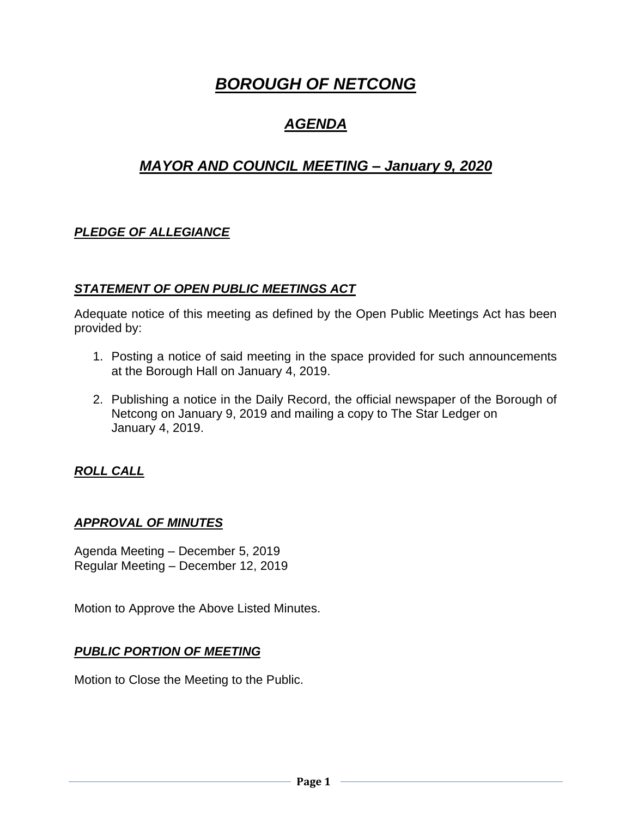# *BOROUGH OF NETCONG*

## *AGENDA*

## *MAYOR AND COUNCIL MEETING – January 9, 2020*

## *PLEDGE OF ALLEGIANCE*

### *STATEMENT OF OPEN PUBLIC MEETINGS ACT*

Adequate notice of this meeting as defined by the Open Public Meetings Act has been provided by:

- 1. Posting a notice of said meeting in the space provided for such announcements at the Borough Hall on January 4, 2019.
- 2. Publishing a notice in the Daily Record, the official newspaper of the Borough of Netcong on January 9, 2019 and mailing a copy to The Star Ledger on January 4, 2019.

#### *ROLL CALL*

#### *APPROVAL OF MINUTES*

Agenda Meeting – December 5, 2019 Regular Meeting – December 12, 2019

Motion to Approve the Above Listed Minutes.

#### *PUBLIC PORTION OF MEETING*

Motion to Close the Meeting to the Public.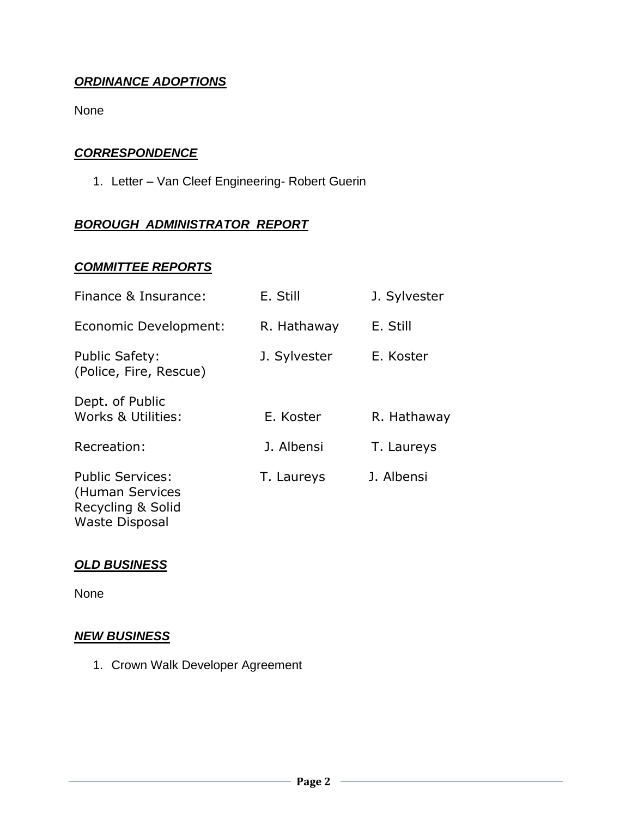### *ORDINANCE ADOPTIONS*

None

#### *CORRESPONDENCE*

1. Letter – Van Cleef Engineering- Robert Guerin

### *BOROUGH ADMINISTRATOR REPORT*

#### *COMMITTEE REPORTS*

| Finance & Insurance:                                                                     | E. Still     | J. Sylvester |
|------------------------------------------------------------------------------------------|--------------|--------------|
| Economic Development:                                                                    | R. Hathaway  | E. Still     |
| <b>Public Safety:</b><br>(Police, Fire, Rescue)                                          | J. Sylvester | E. Koster    |
| Dept. of Public<br>Works & Utilities:                                                    | E. Koster    | R. Hathaway  |
| Recreation:                                                                              | J. Albensi   | T. Laureys   |
| <b>Public Services:</b><br>(Human Services<br>Recycling & Solid<br><b>Waste Disposal</b> | T. Laureys   | J. Albensi   |

#### *OLD BUSINESS*

None

#### *NEW BUSINESS*

1. Crown Walk Developer Agreement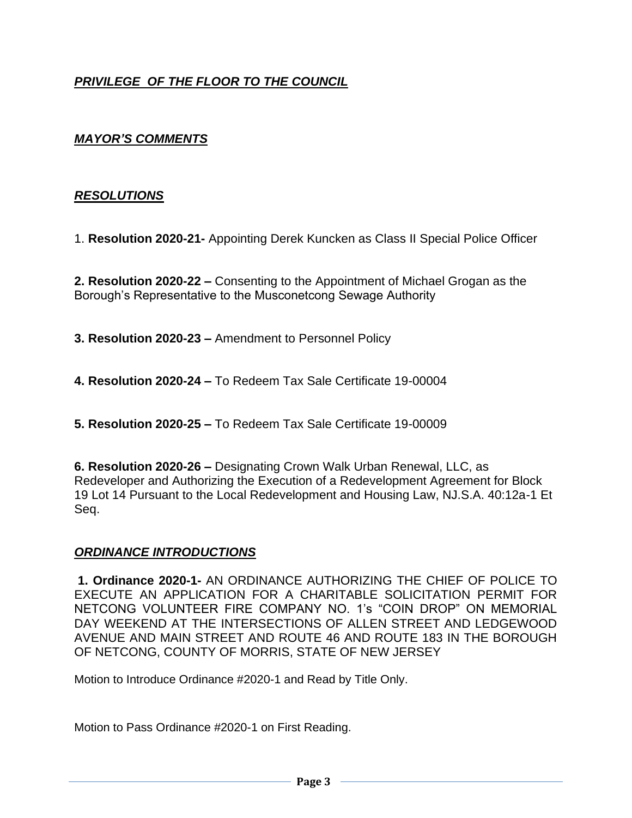## *PRIVILEGE OF THE FLOOR TO THE COUNCIL*

#### *MAYOR'S COMMENTS*

#### *RESOLUTIONS*

1. **Resolution 2020-21-** Appointing Derek Kuncken as Class II Special Police Officer

**2. Resolution 2020-22 –** Consenting to the Appointment of Michael Grogan as the Borough's Representative to the Musconetcong Sewage Authority

**3. Resolution 2020-23 –** Amendment to Personnel Policy

**4. Resolution 2020-24 –** To Redeem Tax Sale Certificate 19-00004

**5. Resolution 2020-25 –** To Redeem Tax Sale Certificate 19-00009

**6. Resolution 2020-26 –** Designating Crown Walk Urban Renewal, LLC, as Redeveloper and Authorizing the Execution of a Redevelopment Agreement for Block 19 Lot 14 Pursuant to the Local Redevelopment and Housing Law, NJ.S.A. 40:12a-1 Et Seq.

#### *ORDINANCE INTRODUCTIONS*

**1. Ordinance 2020-1-** AN ORDINANCE AUTHORIZING THE CHIEF OF POLICE TO EXECUTE AN APPLICATION FOR A CHARITABLE SOLICITATION PERMIT FOR NETCONG VOLUNTEER FIRE COMPANY NO. 1's "COIN DROP" ON MEMORIAL DAY WEEKEND AT THE INTERSECTIONS OF ALLEN STREET AND LEDGEWOOD AVENUE AND MAIN STREET AND ROUTE 46 AND ROUTE 183 IN THE BOROUGH OF NETCONG, COUNTY OF MORRIS, STATE OF NEW JERSEY

Motion to Introduce Ordinance #2020-1 and Read by Title Only.

Motion to Pass Ordinance #2020-1 on First Reading.